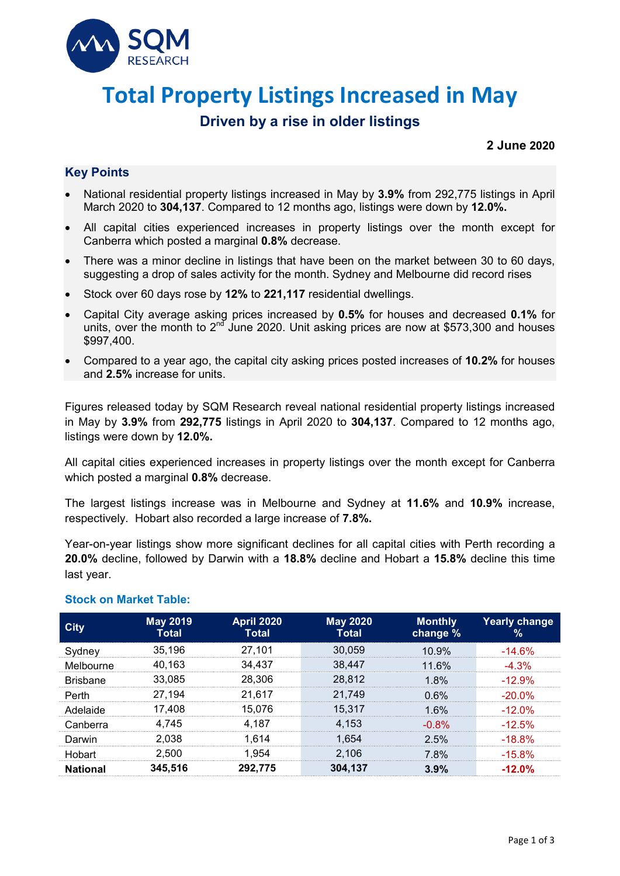

# **Total Property Listings Increased in May**

## **Driven by a rise in older listings**

#### **2 June 2020**

## **Key Points**

- National residential property listings increased in May by **3.9%** from 292,775 listings in April March 2020 to **304,137**. Compared to 12 months ago, listings were down by **12.0%.**
- All capital cities experienced increases in property listings over the month except for Canberra which posted a marginal **0.8%** decrease.
- There was a minor decline in listings that have been on the market between 30 to 60 days, suggesting a drop of sales activity for the month. Sydney and Melbourne did record rises
- Stock over 60 days rose by **12%** to **221,117** residential dwellings.
- Capital City average asking prices increased by **0.5%** for houses and decreased **0.1%** for units, over the month to 2<sup>nd</sup> June 2020. Unit asking prices are now at \$573,300 and houses \$997,400.
- Compared to a year ago, the capital city asking prices posted increases of **10.2%** for houses and **2.5%** increase for units.

Figures released today by SQM Research reveal national residential property listings increased in May by **3.9%** from **292,775** listings in April 2020 to **304,137**. Compared to 12 months ago, listings were down by **12.0%.**

All capital cities experienced increases in property listings over the month except for Canberra which posted a marginal **0.8%** decrease.

The largest listings increase was in Melbourne and Sydney at **11.6%** and **10.9%** increase, respectively. Hobart also recorded a large increase of **7.8%.**

Year-on-year listings show more significant declines for all capital cities with Perth recording a **20.0%** decline, followed by Darwin with a **18.8%** decline and Hobart a **15.8%** decline this time last year.

| City            | <b>May 2019</b><br><b>Total</b> | <b>April 2020</b><br><b>Total</b> | <b>May 2020</b><br><b>Total</b> | <b>Monthly</b><br>change % | Yearly change<br>% |
|-----------------|---------------------------------|-----------------------------------|---------------------------------|----------------------------|--------------------|
| Sydney          | 35.196                          | 27,101                            | 30,059                          | 10.9%                      | $-14.6\%$          |
| Melbourne       | 40.163                          | 34.437                            | 38.447                          | 11.6%                      | $-4.3\%$           |
| <b>Brisbane</b> | 33.085                          | 28,306                            | 28.812                          | $1.8\%$                    | $-12.9\%$          |
| Perth           | 27.194                          | 21.617                            | 21.749                          | 0.6%                       | $-20.0\%$          |
| Adelaide        | 17.408                          | 15.076                            | 15.317                          | 16%                        | $-12.0\%$          |
| Canberra        | 4.745                           | 4.187                             | 4.153                           | -0.8%                      | $-12.5\%$          |
| Darwin          | 2.038                           | 1.614                             | 1.654                           | 2.5%                       | $-18.8%$           |
| Hobart          | 2.500                           | 1.954                             | 2,106                           | 7.8%                       | $-15.8\%$          |
| National        | 345.516                         | 292.775                           | 304.137                         | 3.9%                       | $-12.0%$           |

#### **Stock on Market Table:**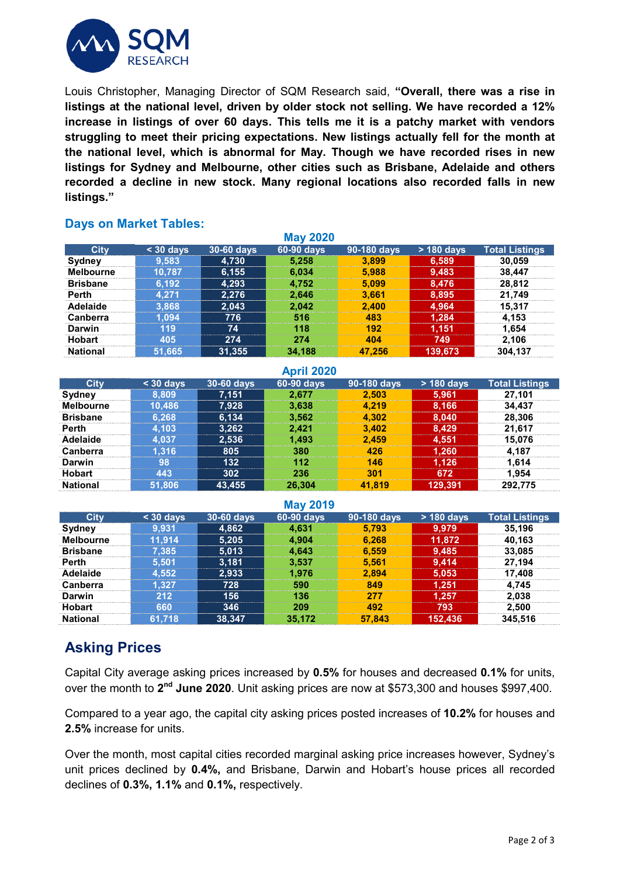

Louis Christopher, Managing Director of SQM Research said, **"Overall, there was a rise in listings at the national level, driven by older stock not selling. We have recorded a 12% increase in listings of over 60 days. This tells me it is a patchy market with vendors struggling to meet their pricing expectations. New listings actually fell for the month at the national level, which is abnormal for May. Though we have recorded rises in new listings for Sydney and Melbourne, other cities such as Brisbane, Adelaide and others recorded a decline in new stock. Many regional locations also recorded falls in new listings."**

### **Days on Market Tables:**

| <b>May 2020</b>  |           |            |            |             |            |                       |
|------------------|-----------|------------|------------|-------------|------------|-----------------------|
| <b>City</b>      | $30$ days | 30-60 days | 60-90 days | 90-180 days | > 180 days | <b>Total Listings</b> |
| Sydney           | 9.583     | 4,730      | 5.258      | 3.899       | 6,589      | 30.059                |
| <b>Melbourne</b> | 10.787    | 6,155      | 6,034      | 5.988       | 9,483      | 38,447                |
| <b>Brisbane</b>  | 6.192     | 4,293      | 4.752      | 5.099       | 8.476      | 28.812                |
| <b>Perth</b>     | 4.271     | 2.276      | 2.646      | 3.661       | 8.895      | 21.749                |
| Adelaide         | 3.868     | 2.043      | 2,042      | 2,400       | 4.964      | 15.317                |
| Canberra         | .094      | 776        | 516        | 483         | 1.284      | 4.153                 |
| Darwin           | 119       | 74         | 118        | 192         | 1.151      | 1.654                 |
| <b>Hobart</b>    | 405       | 274        | 274        | 404         | 749        | 2.106                 |
| <b>National</b>  | 51.665    | 31,355     | 34.188     | 47.256      | 139.673    | 304.137               |

| <b>April 2020</b> |           |            |            |             |            |                       |
|-------------------|-----------|------------|------------|-------------|------------|-----------------------|
| <b>City</b>       | $30$ days | 30-60 days | 60-90 days | 90-180 days | > 180 days | <b>Total Listings</b> |
| Sydney            | 8.809     | 7.151      | 2.677      | 2.503       | 5.961      | 27,101                |
| <b>Melbourne</b>  | 10,486    | 7.928      | 3,638      | 4.219       | 8.166      | 34.437                |
| <b>Brisbane</b>   | 6.268     | 6.134      | 3,562      | 4,302       | 8.040      | 28,306                |
| <b>Perth</b>      | 4.103     | 3,262      | 2,421      | 3,402       | 8.429      | 21,617                |
| Adelaide          | 4.037     | 2,536      | 1.493      | 2.459       | 4,551      | 15.076                |
| <b>Canberra</b>   | .316      | 805        | 380        | 426         | 1,260      | 4.187                 |
| Darwin            | 98        | 132        | 112        | 146         | 1.126      | 1.614                 |
| <b>Hobart</b>     | 443       | 302        | 236        | 301         | 672        | 1.954                 |
| <b>National</b>   | 51,806    | 43,455     | 26.304     | 41.819      | 129,391    | 292,775               |

|           |            | <b>NICH ZUIS</b> |             |            |                       |  |
|-----------|------------|------------------|-------------|------------|-----------------------|--|
| $30$ days | 30-60 days | 60-90 days       | 90-180 days | > 180 days | <b>Total Listings</b> |  |
| 9.931     | 4.862      | 4.631            | 5.793       | 9.979      | 35,196                |  |
| 11.914    | 5.205      | 4,904            | 6,268       | 11.872     | 40.163                |  |
| 7.385     | 5,013      | 4.643            | 6.559       | 9,485      | 33,085                |  |
| 5.501     | 3,181      | 3.537            | 5.561       | 9,414      | 27.194                |  |
| .552      | 2.933      | 1.976            | 2.894       | 5,053      | 17.408                |  |
| .327      | 728        | 590              | 849         | 1,251      | 4.745                 |  |
| 212       | 156        | 136              | 277         | 1.257      | 2.038                 |  |
| 660       | 346        | 209              | 492         | 793        | 2.500                 |  |
| 61.718    | 38,347     | 35,172           | 57.843      | 152,436    | 345,516               |  |
|           |            |                  |             |            |                       |  |

**May 2019**

# **Asking Prices**

Capital City average asking prices increased by **0.5%** for houses and decreased **0.1%** for units, over the month to **2nd June 2020**. Unit asking prices are now at \$573,300 and houses \$997,400.

Compared to a year ago, the capital city asking prices posted increases of **10.2%** for houses and **2.5%** increase for units.

Over the month, most capital cities recorded marginal asking price increases however, Sydney's unit prices declined by **0.4%,** and Brisbane, Darwin and Hobart's house prices all recorded declines of **0.3%, 1.1%** and **0.1%,** respectively.